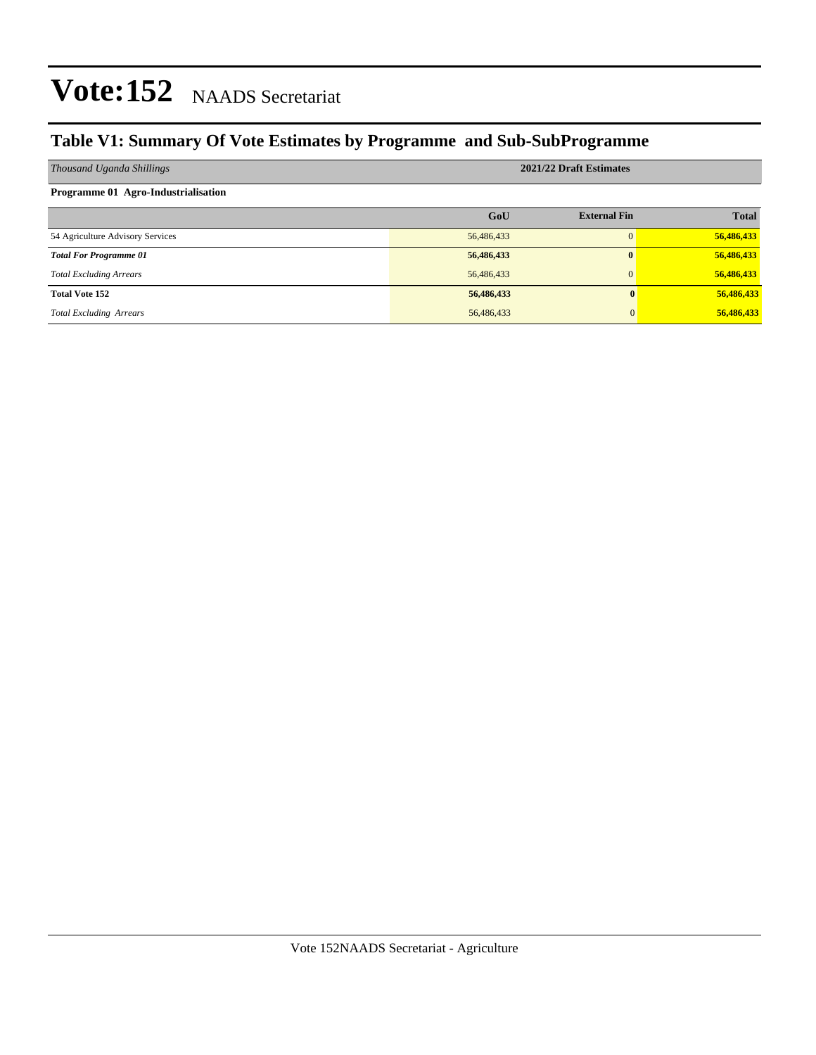### **Table V1: Summary Of Vote Estimates by Programme and Sub-SubProgramme**

| Thousand Uganda Shillings           | 2021/22 Draft Estimates |                     |              |  |  |  |
|-------------------------------------|-------------------------|---------------------|--------------|--|--|--|
| Programme 01 Agro-Industrialisation |                         |                     |              |  |  |  |
|                                     | GoU                     | <b>External Fin</b> | <b>Total</b> |  |  |  |
| 54 Agriculture Advisory Services    | 56,486,433              | $\Omega$            | 56,486,433   |  |  |  |
| <b>Total For Programme 01</b>       | 56,486,433              | $\bf{0}$            | 56,486,433   |  |  |  |
| <b>Total Excluding Arrears</b>      | 56,486,433              | $\mathbf{0}$        | 56,486,433   |  |  |  |
| <b>Total Vote 152</b>               | 56,486,433              |                     | 56,486,433   |  |  |  |
| <b>Total Excluding Arrears</b>      | 56,486,433              |                     | 56,486,433   |  |  |  |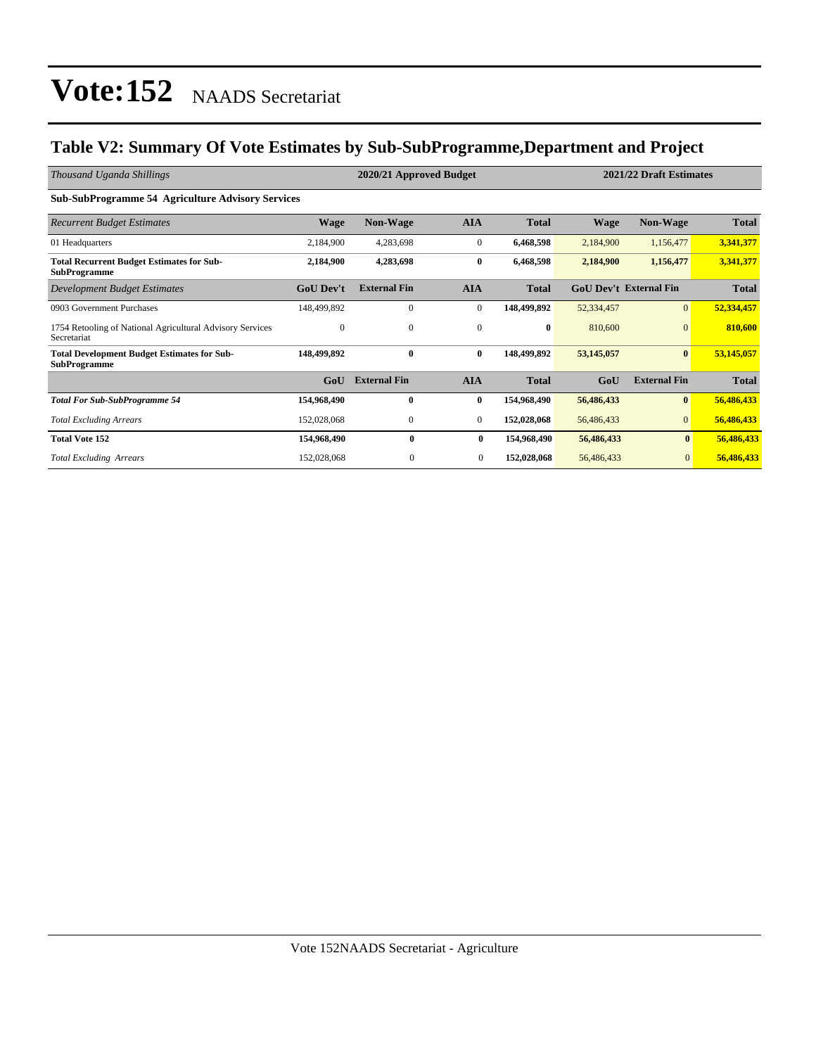### **Table V2: Summary Of Vote Estimates by Sub-SubProgramme,Department and Project**

| Thousand Uganda Shillings                                                 | 2020/21 Approved Budget |                     |                |              |             | 2021/22 Draft Estimates       |              |  |
|---------------------------------------------------------------------------|-------------------------|---------------------|----------------|--------------|-------------|-------------------------------|--------------|--|
| <b>Sub-SubProgramme 54 Agriculture Advisory Services</b>                  |                         |                     |                |              |             |                               |              |  |
| <b>Recurrent Budget Estimates</b>                                         | <b>Wage</b>             | <b>Non-Wage</b>     | <b>AIA</b>     | <b>Total</b> | <b>Wage</b> | <b>Non-Wage</b>               | <b>Total</b> |  |
| 01 Headquarters                                                           | 2,184,900               | 4,283,698           | $\mathbf{0}$   | 6,468,598    | 2,184,900   | 1,156,477                     | 3,341,377    |  |
| <b>Total Recurrent Budget Estimates for Sub-</b><br><b>SubProgramme</b>   | 2,184,900               | 4,283,698           | $\bf{0}$       | 6,468,598    | 2,184,900   | 1,156,477                     | 3,341,377    |  |
| Development Budget Estimates                                              | <b>GoU Dev't</b>        | <b>External Fin</b> | <b>AIA</b>     | <b>Total</b> |             | <b>GoU Dev't External Fin</b> | <b>Total</b> |  |
| 0903 Government Purchases                                                 | 148,499,892             | $\mathbf{0}$        | $\mathbf{0}$   | 148,499,892  | 52,334,457  | $\mathbf{0}$                  | 52,334,457   |  |
| 1754 Retooling of National Agricultural Advisory Services<br>Secretariat  | $\mathbf{0}$            | $\mathbf{0}$        | $\mathbf{0}$   | $\bf{0}$     | 810,600     | $\Omega$                      | 810,600      |  |
| <b>Total Development Budget Estimates for Sub-</b><br><b>SubProgramme</b> | 148,499,892             | $\mathbf{0}$        | $\bf{0}$       | 148,499,892  | 53,145,057  | $\bf{0}$                      | 53,145,057   |  |
|                                                                           | GoU                     | <b>External Fin</b> | <b>AIA</b>     | <b>Total</b> | GoU         | <b>External Fin</b>           | <b>Total</b> |  |
| <b>Total For Sub-SubProgramme 54</b>                                      | 154,968,490             | $\mathbf{0}$        | $\bf{0}$       | 154,968,490  | 56,486,433  | $\bf{0}$                      | 56,486,433   |  |
| <b>Total Excluding Arrears</b>                                            | 152,028,068             | $\mathbf{0}$        | $\mathbf{0}$   | 152,028,068  | 56,486,433  | $\mathbf{0}$                  | 56,486,433   |  |
| <b>Total Vote 152</b>                                                     | 154,968,490             | $\bf{0}$            | $\bf{0}$       | 154,968,490  | 56,486,433  | $\mathbf{0}$                  | 56,486,433   |  |
| <b>Total Excluding Arrears</b>                                            | 152,028,068             | $\theta$            | $\overline{0}$ | 152,028,068  | 56,486,433  | $\mathbf{0}$                  | 56,486,433   |  |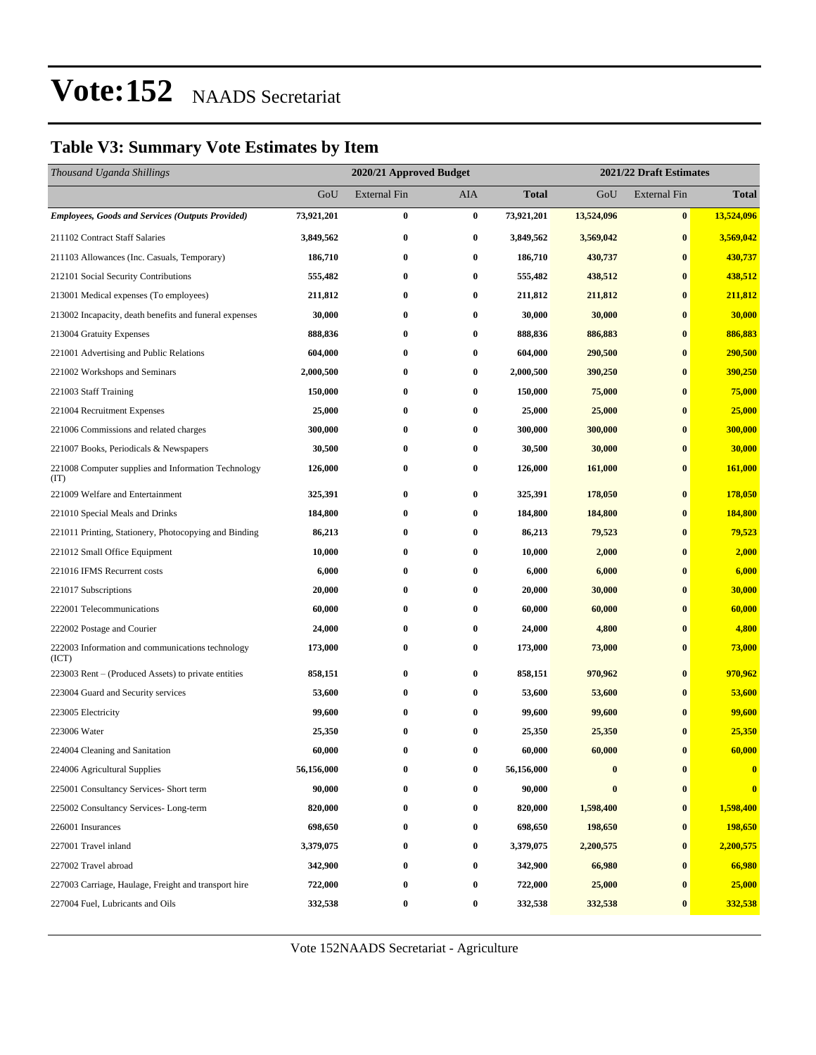### **Table V3: Summary Vote Estimates by Item**

| Thousand Uganda Shillings                                   |            | 2020/21 Approved Budget |                  |              | 2021/22 Draft Estimates |                     |              |
|-------------------------------------------------------------|------------|-------------------------|------------------|--------------|-------------------------|---------------------|--------------|
|                                                             | GoU        | <b>External Fin</b>     | AIA              | <b>Total</b> | GoU                     | <b>External Fin</b> | <b>Total</b> |
| <b>Employees, Goods and Services (Outputs Provided)</b>     | 73,921,201 | $\bf{0}$                | $\bf{0}$         | 73,921,201   | 13,524,096              | $\bf{0}$            | 13,524,096   |
| 211102 Contract Staff Salaries                              | 3,849,562  | $\bf{0}$                | $\bf{0}$         | 3,849,562    | 3,569,042               | $\bf{0}$            | 3,569,042    |
| 211103 Allowances (Inc. Casuals, Temporary)                 | 186,710    | $\bf{0}$                | $\bf{0}$         | 186,710      | 430,737                 | $\bf{0}$            | 430,737      |
| 212101 Social Security Contributions                        | 555,482    | $\bf{0}$                | $\bf{0}$         | 555,482      | 438,512                 | $\bf{0}$            | 438,512      |
| 213001 Medical expenses (To employees)                      | 211,812    | $\bf{0}$                | $\bf{0}$         | 211,812      | 211,812                 | $\bf{0}$            | 211,812      |
| 213002 Incapacity, death benefits and funeral expenses      | 30,000     | $\bf{0}$                | $\bf{0}$         | 30,000       | 30,000                  | $\bf{0}$            | 30,000       |
| 213004 Gratuity Expenses                                    | 888,836    | $\bf{0}$                | 0                | 888,836      | 886,883                 | $\bf{0}$            | 886,883      |
| 221001 Advertising and Public Relations                     | 604,000    | $\bf{0}$                | $\bf{0}$         | 604,000      | 290,500                 | $\bf{0}$            | 290,500      |
| 221002 Workshops and Seminars                               | 2,000,500  | $\bf{0}$                | $\bf{0}$         | 2,000,500    | 390,250                 | $\bf{0}$            | 390,250      |
| 221003 Staff Training                                       | 150,000    | $\bf{0}$                | $\bf{0}$         | 150,000      | 75,000                  | $\bf{0}$            | 75,000       |
| 221004 Recruitment Expenses                                 | 25,000     | $\bf{0}$                | $\bf{0}$         | 25,000       | 25,000                  | $\bf{0}$            | 25,000       |
| 221006 Commissions and related charges                      | 300,000    | $\bf{0}$                | $\bf{0}$         | 300,000      | 300,000                 | $\bf{0}$            | 300,000      |
| 221007 Books, Periodicals & Newspapers                      | 30,500     | $\bf{0}$                | $\bf{0}$         | 30,500       | 30,000                  | $\bf{0}$            | 30,000       |
| 221008 Computer supplies and Information Technology<br>(TT) | 126,000    | $\bf{0}$                | $\bf{0}$         | 126,000      | 161,000                 | $\bf{0}$            | 161,000      |
| 221009 Welfare and Entertainment                            | 325,391    | $\bf{0}$                | $\bf{0}$         | 325,391      | 178,050                 | $\bf{0}$            | 178,050      |
| 221010 Special Meals and Drinks                             | 184,800    | $\bf{0}$                | $\bf{0}$         | 184,800      | 184,800                 | $\bf{0}$            | 184,800      |
| 221011 Printing, Stationery, Photocopying and Binding       | 86,213     | $\bf{0}$                | $\bf{0}$         | 86,213       | 79,523                  | $\bf{0}$            | 79,523       |
| 221012 Small Office Equipment                               | 10,000     | $\bf{0}$                | $\bf{0}$         | 10,000       | 2,000                   | $\bf{0}$            | 2,000        |
| 221016 IFMS Recurrent costs                                 | 6,000      | $\bf{0}$                | 0                | 6,000        | 6,000                   | $\bf{0}$            | 6,000        |
| 221017 Subscriptions                                        | 20,000     | $\bf{0}$                | 0                | 20,000       | 30,000                  | $\bf{0}$            | 30,000       |
| 222001 Telecommunications                                   | 60,000     | $\bf{0}$                | $\bf{0}$         | 60,000       | 60,000                  | $\bf{0}$            | 60,000       |
| 222002 Postage and Courier                                  | 24,000     | $\bf{0}$                | $\bf{0}$         | 24,000       | 4,800                   | $\bf{0}$            | 4,800        |
| 222003 Information and communications technology<br>(ICT)   | 173,000    | $\bf{0}$                | $\bf{0}$         | 173,000      | 73,000                  | $\bf{0}$            | 73,000       |
| 223003 Rent – (Produced Assets) to private entities         | 858,151    | $\bf{0}$                | $\bf{0}$         | 858,151      | 970,962                 | $\bf{0}$            | 970,962      |
| 223004 Guard and Security services                          | 53,600     | $\bf{0}$                | 0                | 53,600       | 53,600                  | $\bf{0}$            | 53,600       |
| 223005 Electricity                                          | 99,600     | $\bf{0}$                | $\bf{0}$         | 99,600       | 99,600                  | $\bf{0}$            | 99,600       |
| 223006 Water                                                | 25,350     | $\bf{0}$                | 0                | 25,350       | 25,350                  | $\bf{0}$            | 25,350       |
| 224004 Cleaning and Sanitation                              | 60,000     | $\bf{0}$                | $\bf{0}$         | 60,000       | 60,000                  | $\bf{0}$            | 60,000       |
| 224006 Agricultural Supplies                                | 56,156,000 | 0                       | $\bf{0}$         | 56,156,000   | $\bf{0}$                | $\bf{0}$            | $\bf{0}$     |
| 225001 Consultancy Services- Short term                     | 90,000     | $\bf{0}$                | 0                | 90,000       | $\bf{0}$                | $\bf{0}$            | $\bf{0}$     |
| 225002 Consultancy Services-Long-term                       | 820,000    | $\bf{0}$                | $\boldsymbol{0}$ | 820,000      | 1,598,400               | $\bf{0}$            | 1,598,400    |
| 226001 Insurances                                           | 698,650    | $\bf{0}$                | 0                | 698,650      | 198,650                 | $\bf{0}$            | 198,650      |
| 227001 Travel inland                                        | 3,379,075  | $\bf{0}$                | $\boldsymbol{0}$ | 3,379,075    | 2,200,575               | $\bf{0}$            | 2,200,575    |
| 227002 Travel abroad                                        | 342,900    | $\bf{0}$                | 0                | 342,900      | 66,980                  | $\bf{0}$            | 66,980       |
| 227003 Carriage, Haulage, Freight and transport hire        | 722,000    | $\bf{0}$                | 0                | 722,000      | 25,000                  | $\bf{0}$            | 25,000       |
| 227004 Fuel, Lubricants and Oils                            | 332,538    | $\bf{0}$                | $\boldsymbol{0}$ | 332,538      | 332,538                 | $\bf{0}$            | 332,538      |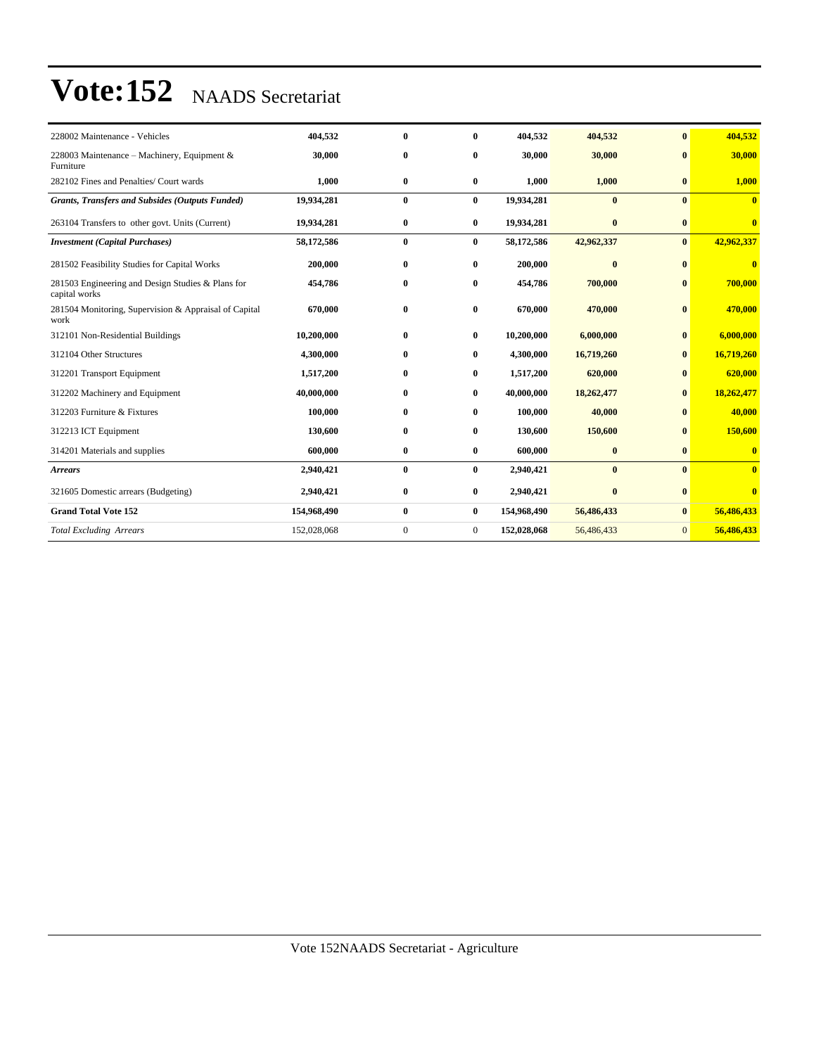| 228002 Maintenance - Vehicles                                      | 404,532     | $\mathbf{0}$ | 0              | 404,532     | 404,532      | $\mathbf{0}$   | 404,532                 |
|--------------------------------------------------------------------|-------------|--------------|----------------|-------------|--------------|----------------|-------------------------|
| 228003 Maintenance - Machinery, Equipment &<br>Furniture           | 30,000      | $\bf{0}$     | 0              | 30,000      | 30,000       | $\bf{0}$       | 30,000                  |
| 282102 Fines and Penalties/ Court wards                            | 1,000       | $\bf{0}$     | $\bf{0}$       | 1,000       | 1,000        | $\mathbf{0}$   | 1,000                   |
| <b>Grants, Transfers and Subsides (Outputs Funded)</b>             | 19,934,281  | $\bf{0}$     | $\bf{0}$       | 19,934,281  | $\mathbf{0}$ | $\mathbf{0}$   | $\overline{\mathbf{0}}$ |
| 263104 Transfers to other govt. Units (Current)                    | 19,934,281  | $\bf{0}$     | $\bf{0}$       | 19,934,281  | $\bf{0}$     | $\bf{0}$       | $\bf{0}$                |
| <b>Investment</b> (Capital Purchases)                              | 58,172,586  | $\bf{0}$     | $\bf{0}$       | 58,172,586  | 42,962,337   | $\bf{0}$       | 42,962,337              |
| 281502 Feasibility Studies for Capital Works                       | 200,000     | $\bf{0}$     | $\bf{0}$       | 200,000     | $\bf{0}$     | $\mathbf{0}$   | $\bf{0}$                |
| 281503 Engineering and Design Studies & Plans for<br>capital works | 454,786     | $\bf{0}$     | $\bf{0}$       | 454,786     | 700,000      | $\bf{0}$       | 700,000                 |
| 281504 Monitoring, Supervision & Appraisal of Capital<br>work      | 670,000     | $\bf{0}$     | $\bf{0}$       | 670,000     | 470,000      | $\mathbf{0}$   | 470,000                 |
| 312101 Non-Residential Buildings                                   | 10,200,000  | $\mathbf{0}$ | $\bf{0}$       | 10,200,000  | 6,000,000    | $\mathbf{0}$   | 6,000,000               |
| 312104 Other Structures                                            | 4,300,000   | $\mathbf{0}$ | 0              | 4,300,000   | 16,719,260   | $\mathbf{0}$   | 16,719,260              |
| 312201 Transport Equipment                                         | 1,517,200   | $\bf{0}$     | 0              | 1,517,200   | 620,000      | $\bf{0}$       | 620,000                 |
| 312202 Machinery and Equipment                                     | 40,000,000  | $\bf{0}$     | $\bf{0}$       | 40,000,000  | 18,262,477   | $\bf{0}$       | 18,262,477              |
| 312203 Furniture & Fixtures                                        | 100,000     | $\mathbf{0}$ | 0              | 100,000     | 40,000       | $\mathbf{0}$   | 40,000                  |
| 312213 ICT Equipment                                               | 130,600     | $\bf{0}$     | $\bf{0}$       | 130,600     | 150,600      | $\mathbf{0}$   | 150,600                 |
| 314201 Materials and supplies                                      | 600,000     | $\bf{0}$     | $\bf{0}$       | 600,000     | $\bf{0}$     | $\bf{0}$       | $\bf{0}$                |
| <b>Arrears</b>                                                     | 2,940,421   | $\bf{0}$     | $\bf{0}$       | 2,940,421   | $\bf{0}$     | $\mathbf{0}$   | $\bf{0}$                |
| 321605 Domestic arrears (Budgeting)                                | 2,940,421   | $\bf{0}$     | $\bf{0}$       | 2,940,421   | $\bf{0}$     | $\bf{0}$       | $\mathbf{0}$            |
| <b>Grand Total Vote 152</b>                                        | 154,968,490 | $\bf{0}$     | $\bf{0}$       | 154,968,490 | 56,486,433   | $\bf{0}$       | 56,486,433              |
| <b>Total Excluding Arrears</b>                                     | 152,028,068 | $\mathbf{0}$ | $\overline{0}$ | 152,028,068 | 56,486,433   | $\overline{0}$ | 56,486,433              |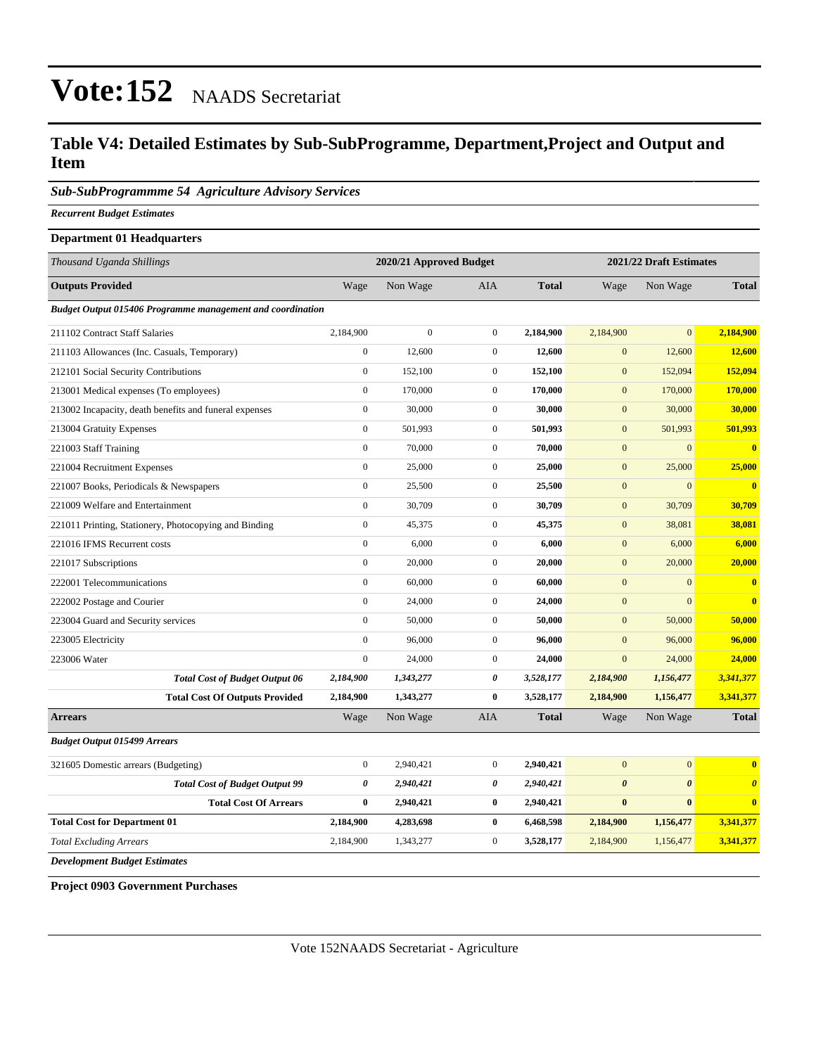### **Table V4: Detailed Estimates by Sub-SubProgramme, Department,Project and Output and Item**

### *Sub-SubProgrammme 54 Agriculture Advisory Services*

*Recurrent Budget Estimates*

### **Department 01 Headquarters**

| Thousand Uganda Shillings                                         |                       | 2020/21 Approved Budget |                  |              | 2021/22 Draft Estimates |                       |                         |  |
|-------------------------------------------------------------------|-----------------------|-------------------------|------------------|--------------|-------------------------|-----------------------|-------------------------|--|
| <b>Outputs Provided</b>                                           | Wage                  | Non Wage                | <b>AIA</b>       | <b>Total</b> | Wage                    | Non Wage              | <b>Total</b>            |  |
| <b>Budget Output 015406 Programme management and coordination</b> |                       |                         |                  |              |                         |                       |                         |  |
| 211102 Contract Staff Salaries                                    | 2,184,900             | $\boldsymbol{0}$        | $\overline{0}$   | 2,184,900    | 2,184,900               | $\mathbf{0}$          | 2,184,900               |  |
| 211103 Allowances (Inc. Casuals, Temporary)                       | $\mathbf{0}$          | 12,600                  | $\overline{0}$   | 12,600       | $\mathbf{0}$            | 12,600                | 12,600                  |  |
| 212101 Social Security Contributions                              | $\boldsymbol{0}$      | 152,100                 | $\boldsymbol{0}$ | 152,100      | $\mathbf{0}$            | 152,094               | 152,094                 |  |
| 213001 Medical expenses (To employees)                            | $\boldsymbol{0}$      | 170,000                 | $\overline{0}$   | 170,000      | $\mathbf{0}$            | 170,000               | 170,000                 |  |
| 213002 Incapacity, death benefits and funeral expenses            | $\mathbf{0}$          | 30,000                  | $\overline{0}$   | 30,000       | $\mathbf{0}$            | 30,000                | 30,000                  |  |
| 213004 Gratuity Expenses                                          | $\mathbf{0}$          | 501,993                 | $\overline{0}$   | 501,993      | $\mathbf{0}$            | 501,993               | 501,993                 |  |
| 221003 Staff Training                                             | $\mathbf{0}$          | 70,000                  | $\overline{0}$   | 70,000       | $\mathbf{0}$            | $\mathbf{0}$          | $\bf{0}$                |  |
| 221004 Recruitment Expenses                                       | $\boldsymbol{0}$      | 25,000                  | $\mathbf{0}$     | 25,000       | $\boldsymbol{0}$        | 25,000                | 25,000                  |  |
| 221007 Books, Periodicals & Newspapers                            | $\boldsymbol{0}$      | 25,500                  | $\overline{0}$   | 25,500       | $\mathbf{0}$            | $\mathbf{0}$          | $\overline{\mathbf{0}}$ |  |
| 221009 Welfare and Entertainment                                  | $\mathbf{0}$          | 30,709                  | $\overline{0}$   | 30,709       | $\mathbf{0}$            | 30,709                | 30,709                  |  |
| 221011 Printing, Stationery, Photocopying and Binding             | $\mathbf{0}$          | 45,375                  | $\overline{0}$   | 45,375       | $\mathbf{0}$            | 38,081                | 38,081                  |  |
| 221016 IFMS Recurrent costs                                       | $\mathbf{0}$          | 6,000                   | $\overline{0}$   | 6,000        | $\mathbf{0}$            | 6,000                 | 6,000                   |  |
| 221017 Subscriptions                                              | $\mathbf{0}$          | 20,000                  | $\boldsymbol{0}$ | 20,000       | $\mathbf{0}$            | 20,000                | 20,000                  |  |
| 222001 Telecommunications                                         | $\boldsymbol{0}$      | 60,000                  | $\overline{0}$   | 60,000       | $\boldsymbol{0}$        | $\mathbf{0}$          | $\bf{0}$                |  |
| 222002 Postage and Courier                                        | $\mathbf{0}$          | 24,000                  | $\mathbf{0}$     | 24,000       | $\mathbf{0}$            | $\overline{0}$        | $\overline{\mathbf{0}}$ |  |
| 223004 Guard and Security services                                | $\boldsymbol{0}$      | 50,000                  | $\overline{0}$   | 50,000       | $\mathbf{0}$            | 50,000                | 50,000                  |  |
| 223005 Electricity                                                | $\mathbf{0}$          | 96,000                  | $\overline{0}$   | 96,000       | $\mathbf{0}$            | 96,000                | 96,000                  |  |
| 223006 Water                                                      | $\mathbf{0}$          | 24,000                  | $\boldsymbol{0}$ | 24,000       | $\mathbf{0}$            | 24,000                | 24,000                  |  |
| <b>Total Cost of Budget Output 06</b>                             | 2,184,900             | 1,343,277               | 0                | 3,528,177    | 2,184,900               | 1,156,477             | 3,341,377               |  |
| <b>Total Cost Of Outputs Provided</b>                             | 2,184,900             | 1,343,277               | $\bf{0}$         | 3,528,177    | 2,184,900               | 1,156,477             | 3,341,377               |  |
| <b>Arrears</b>                                                    | Wage                  | Non Wage                | <b>AIA</b>       | <b>Total</b> | Wage                    | Non Wage              | <b>Total</b>            |  |
| <b>Budget Output 015499 Arrears</b>                               |                       |                         |                  |              |                         |                       |                         |  |
| 321605 Domestic arrears (Budgeting)                               | $\boldsymbol{0}$      | 2,940,421               | $\overline{0}$   | 2,940,421    | $\mathbf{0}$            | $\overline{0}$        | $\bf{0}$                |  |
| <b>Total Cost of Budget Output 99</b>                             | $\boldsymbol{\theta}$ | 2,940,421               | 0                | 2,940,421    | $\boldsymbol{\theta}$   | $\boldsymbol{\theta}$ | $\boldsymbol{\theta}$   |  |
| <b>Total Cost Of Arrears</b>                                      | $\bf{0}$              | 2,940,421               | $\bf{0}$         | 2,940,421    | $\bf{0}$                | $\bf{0}$              | $\bf{0}$                |  |
| <b>Total Cost for Department 01</b>                               | 2,184,900             | 4,283,698               | $\bf{0}$         | 6,468,598    | 2,184,900               | 1,156,477             | 3,341,377               |  |
| <b>Total Excluding Arrears</b>                                    | 2,184,900             | 1,343,277               | $\overline{0}$   | 3,528,177    | 2,184,900               | 1,156,477             | 3,341,377               |  |
| <b>Development Budget Estimates</b>                               |                       |                         |                  |              |                         |                       |                         |  |

**Project 0903 Government Purchases**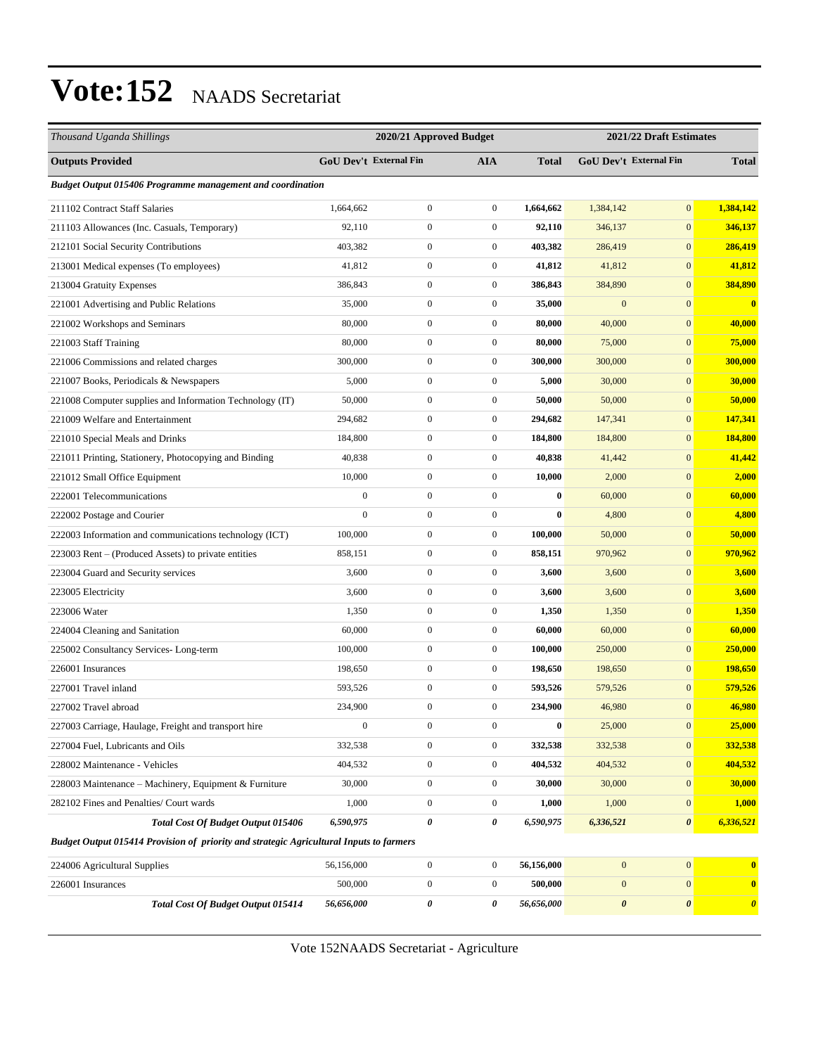| Thousand Uganda Shillings                                                               |                  | 2020/21 Approved Budget       |                  |              | 2021/22 Draft Estimates |                        |                       |
|-----------------------------------------------------------------------------------------|------------------|-------------------------------|------------------|--------------|-------------------------|------------------------|-----------------------|
| <b>Outputs Provided</b>                                                                 |                  | <b>GoU Dev't External Fin</b> | <b>AIA</b>       | <b>Total</b> |                         | GoU Dev't External Fin | <b>Total</b>          |
| <b>Budget Output 015406 Programme management and coordination</b>                       |                  |                               |                  |              |                         |                        |                       |
| 211102 Contract Staff Salaries                                                          | 1,664,662        | $\boldsymbol{0}$              | $\mathbf{0}$     | 1,664,662    | 1,384,142               | $\mathbf{0}$           | 1,384,142             |
| 211103 Allowances (Inc. Casuals, Temporary)                                             | 92,110           | $\boldsymbol{0}$              | $\boldsymbol{0}$ | 92,110       | 346,137                 | $\mathbf{0}$           | 346,137               |
| 212101 Social Security Contributions                                                    | 403,382          | $\mathbf{0}$                  | $\boldsymbol{0}$ | 403,382      | 286,419                 | $\mathbf{0}$           | 286,419               |
| 213001 Medical expenses (To employees)                                                  | 41,812           | $\boldsymbol{0}$              | $\boldsymbol{0}$ | 41,812       | 41,812                  | $\mathbf{0}$           | 41,812                |
| 213004 Gratuity Expenses                                                                | 386,843          | $\boldsymbol{0}$              | $\mathbf{0}$     | 386,843      | 384,890                 | $\boldsymbol{0}$       | 384,890               |
| 221001 Advertising and Public Relations                                                 | 35,000           | $\boldsymbol{0}$              | $\boldsymbol{0}$ | 35,000       | $\mathbf{0}$            | $\mathbf{0}$           | $\bf{0}$              |
| 221002 Workshops and Seminars                                                           | 80,000           | $\boldsymbol{0}$              | $\boldsymbol{0}$ | 80,000       | 40,000                  | $\mathbf{0}$           | 40,000                |
| 221003 Staff Training                                                                   | 80,000           | $\boldsymbol{0}$              | $\boldsymbol{0}$ | 80,000       | 75,000                  | $\mathbf{0}$           | 75,000                |
| 221006 Commissions and related charges                                                  | 300,000          | $\boldsymbol{0}$              | $\boldsymbol{0}$ | 300,000      | 300,000                 | $\mathbf{0}$           | 300,000               |
| 221007 Books, Periodicals & Newspapers                                                  | 5,000            | $\boldsymbol{0}$              | $\boldsymbol{0}$ | 5,000        | 30,000                  | $\mathbf{0}$           | 30,000                |
| 221008 Computer supplies and Information Technology (IT)                                | 50,000           | $\boldsymbol{0}$              | $\boldsymbol{0}$ | 50,000       | 50,000                  | $\mathbf{0}$           | 50,000                |
| 221009 Welfare and Entertainment                                                        | 294,682          | $\boldsymbol{0}$              | $\boldsymbol{0}$ | 294.682      | 147,341                 | $\mathbf{0}$           | 147,341               |
| 221010 Special Meals and Drinks                                                         | 184,800          | $\boldsymbol{0}$              | $\boldsymbol{0}$ | 184,800      | 184,800                 | $\mathbf{0}$           | 184,800               |
| 221011 Printing, Stationery, Photocopying and Binding                                   | 40,838           | $\boldsymbol{0}$              | $\boldsymbol{0}$ | 40,838       | 41,442                  | $\mathbf{0}$           | 41,442                |
| 221012 Small Office Equipment                                                           | 10,000           | $\boldsymbol{0}$              | $\boldsymbol{0}$ | 10,000       | 2,000                   | $\mathbf{0}$           | 2,000                 |
| 222001 Telecommunications                                                               | $\boldsymbol{0}$ | $\boldsymbol{0}$              | $\boldsymbol{0}$ | $\bf{0}$     | 60,000                  | $\mathbf{0}$           | 60,000                |
| 222002 Postage and Courier                                                              | $\mathbf{0}$     | $\boldsymbol{0}$              | $\boldsymbol{0}$ | $\bf{0}$     | 4,800                   | $\mathbf{0}$           | 4,800                 |
| 222003 Information and communications technology (ICT)                                  | 100,000          | $\boldsymbol{0}$              | $\boldsymbol{0}$ | 100,000      | 50,000                  | $\mathbf{0}$           | 50,000                |
| 223003 Rent – (Produced Assets) to private entities                                     | 858,151          | $\boldsymbol{0}$              | $\boldsymbol{0}$ | 858,151      | 970,962                 | $\mathbf{0}$           | 970,962               |
| 223004 Guard and Security services                                                      | 3,600            | $\boldsymbol{0}$              | $\boldsymbol{0}$ | 3,600        | 3,600                   | $\mathbf{0}$           | 3,600                 |
| 223005 Electricity                                                                      | 3,600            | $\boldsymbol{0}$              | $\boldsymbol{0}$ | 3,600        | 3,600                   | $\mathbf{0}$           | 3,600                 |
| 223006 Water                                                                            | 1,350            | $\boldsymbol{0}$              | $\boldsymbol{0}$ | 1,350        | 1,350                   | $\mathbf{0}$           | 1,350                 |
| 224004 Cleaning and Sanitation                                                          | 60,000           | $\boldsymbol{0}$              | $\boldsymbol{0}$ | 60,000       | 60,000                  | $\mathbf{0}$           | 60,000                |
| 225002 Consultancy Services-Long-term                                                   | 100,000          | $\boldsymbol{0}$              | $\boldsymbol{0}$ | 100,000      | 250,000                 | $\mathbf{0}$           | 250,000               |
| 226001 Insurances                                                                       | 198,650          | $\boldsymbol{0}$              | $\mathbf{0}$     | 198,650      | 198,650                 | $\mathbf{0}$           | 198,650               |
| 227001 Travel inland                                                                    | 593,526          | $\boldsymbol{0}$              | $\boldsymbol{0}$ | 593,526      | 579,526                 | $\boldsymbol{0}$       | 579,526               |
| 227002 Travel abroad                                                                    | 234,900          | $\boldsymbol{0}$              | $\boldsymbol{0}$ | 234,900      | 46,980                  | $\mathbf{0}$           | 46,980                |
| 227003 Carriage, Haulage, Freight and transport hire                                    | $\boldsymbol{0}$ | $\boldsymbol{0}$              | $\boldsymbol{0}$ | $\pmb{0}$    | 25,000                  | $\boldsymbol{0}$       | 25,000                |
| 227004 Fuel, Lubricants and Oils                                                        | 332,538          | $\boldsymbol{0}$              | $\boldsymbol{0}$ | 332,538      | 332,538                 | $\boldsymbol{0}$       | 332,538               |
| 228002 Maintenance - Vehicles                                                           | 404,532          | $\boldsymbol{0}$              | $\boldsymbol{0}$ | 404,532      | 404,532                 | $\boldsymbol{0}$       | 404,532               |
| 228003 Maintenance - Machinery, Equipment & Furniture                                   | 30,000           | $\boldsymbol{0}$              | $\boldsymbol{0}$ | 30,000       | 30,000                  | $\bf{0}$               | 30,000                |
| 282102 Fines and Penalties/ Court wards                                                 | 1,000            | $\boldsymbol{0}$              | $\boldsymbol{0}$ | 1,000        | 1,000                   | $\bf{0}$               | 1,000                 |
| <b>Total Cost Of Budget Output 015406</b>                                               | 6,590,975        | 0                             | 0                | 6,590,975    | 6,336,521               | 0                      | 6,336,521             |
| Budget Output 015414 Provision of priority and strategic Agricultural Inputs to farmers |                  |                               |                  |              |                         |                        |                       |
| 224006 Agricultural Supplies                                                            | 56,156,000       | $\boldsymbol{0}$              | $\boldsymbol{0}$ | 56,156,000   | $\boldsymbol{0}$        | $\mathbf{0}$           | $\bf{0}$              |
| 226001 Insurances                                                                       | 500,000          | $\boldsymbol{0}$              | $\boldsymbol{0}$ | 500,000      | $\mathbf{0}$            | $\mathbf{0}$           | $\bf{0}$              |
| Total Cost Of Budget Output 015414                                                      | 56,656,000       | 0                             | 0                | 56,656,000   | $\pmb{\theta}$          | $\pmb{\theta}$         | $\boldsymbol{\theta}$ |

Vote 152NAADS Secretariat - Agriculture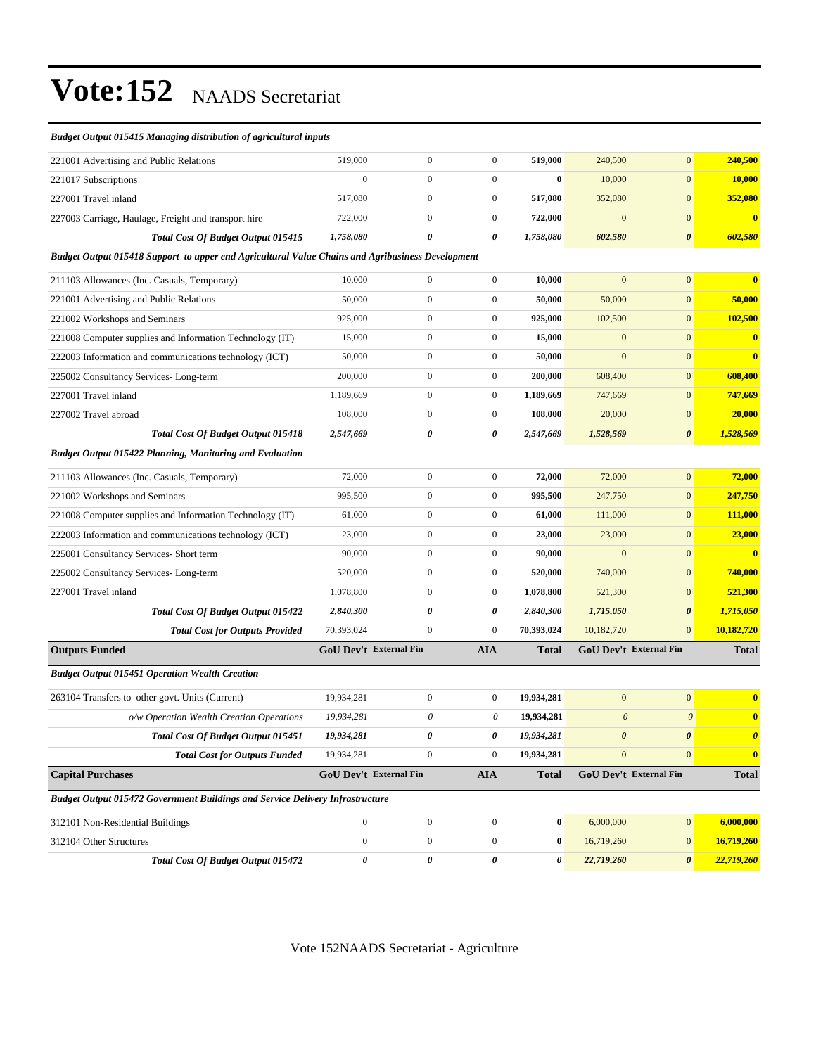| <b>Budget Output 015415 Managing distribution of agricultural inputs</b>                         |                        |                  |                  |              |                       |                        |                         |
|--------------------------------------------------------------------------------------------------|------------------------|------------------|------------------|--------------|-----------------------|------------------------|-------------------------|
| 221001 Advertising and Public Relations                                                          | 519,000                | $\boldsymbol{0}$ | $\mathbf{0}$     | 519,000      | 240,500               | $\mathbf{0}$           | 240,500                 |
| 221017 Subscriptions                                                                             | $\mathbf{0}$           | $\boldsymbol{0}$ | $\boldsymbol{0}$ | $\bf{0}$     | 10,000                | $\mathbf{0}$           | 10,000                  |
| 227001 Travel inland                                                                             | 517,080                | $\mathbf{0}$     | $\boldsymbol{0}$ | 517,080      | 352,080               | $\mathbf{0}$           | 352,080                 |
| 227003 Carriage, Haulage, Freight and transport hire                                             | 722,000                | $\boldsymbol{0}$ | $\boldsymbol{0}$ | 722,000      | $\mathbf{0}$          | $\mathbf{0}$           | $\mathbf{0}$            |
| Total Cost Of Budget Output 015415                                                               | 1,758,080              | $\theta$         | 0                | 1,758,080    | 602,580               | $\boldsymbol{\theta}$  | 602,580                 |
| Budget Output 015418 Support to upper end Agricultural Value Chains and Agribusiness Development |                        |                  |                  |              |                       |                        |                         |
| 211103 Allowances (Inc. Casuals, Temporary)                                                      | 10,000                 | $\boldsymbol{0}$ | $\mathbf{0}$     | 10,000       | $\mathbf{0}$          | $\mathbf{0}$           | $\bf{0}$                |
| 221001 Advertising and Public Relations                                                          | 50,000                 | $\boldsymbol{0}$ | $\boldsymbol{0}$ | 50,000       | 50,000                | $\mathbf{0}$           | 50,000                  |
| 221002 Workshops and Seminars                                                                    | 925,000                | $\boldsymbol{0}$ | $\boldsymbol{0}$ | 925,000      | 102,500               | $\mathbf{0}$           | 102,500                 |
| 221008 Computer supplies and Information Technology (IT)                                         | 15,000                 | $\boldsymbol{0}$ | $\boldsymbol{0}$ | 15,000       | $\mathbf{0}$          | $\mathbf{0}$           | $\mathbf{0}$            |
| 222003 Information and communications technology (ICT)                                           | 50,000                 | $\boldsymbol{0}$ | $\boldsymbol{0}$ | 50,000       | $\mathbf{0}$          | $\mathbf{0}$           | $\bf{0}$                |
| 225002 Consultancy Services-Long-term                                                            | 200,000                | $\boldsymbol{0}$ | $\boldsymbol{0}$ | 200,000      | 608,400               | $\mathbf{0}$           | 608,400                 |
| 227001 Travel inland                                                                             | 1.189.669              | $\boldsymbol{0}$ | $\boldsymbol{0}$ | 1,189,669    | 747,669               | $\mathbf{0}$           | 747,669                 |
| 227002 Travel abroad                                                                             | 108,000                | $\boldsymbol{0}$ | $\boldsymbol{0}$ | 108,000      | 20,000                | $\mathbf{0}$           | 20,000                  |
| <b>Total Cost Of Budget Output 015418</b>                                                        | 2,547,669              | 0                | 0                | 2,547,669    | 1,528,569             | $\boldsymbol{\theta}$  | 1,528,569               |
| <b>Budget Output 015422 Planning, Monitoring and Evaluation</b>                                  |                        |                  |                  |              |                       |                        |                         |
| 211103 Allowances (Inc. Casuals, Temporary)                                                      | 72,000                 | $\boldsymbol{0}$ | $\boldsymbol{0}$ | 72,000       | 72,000                | $\mathbf{0}$           | 72,000                  |
| 221002 Workshops and Seminars                                                                    | 995,500                | $\boldsymbol{0}$ | $\boldsymbol{0}$ | 995,500      | 247,750               | $\mathbf{0}$           | 247,750                 |
| 221008 Computer supplies and Information Technology (IT)                                         | 61,000                 | $\boldsymbol{0}$ | $\boldsymbol{0}$ | 61,000       | 111,000               | $\mathbf{0}$           | 111,000                 |
| 222003 Information and communications technology (ICT)                                           | 23,000                 | $\boldsymbol{0}$ | $\boldsymbol{0}$ | 23,000       | 23,000                | $\mathbf{0}$           | 23,000                  |
| 225001 Consultancy Services- Short term                                                          | 90,000                 | $\boldsymbol{0}$ | $\boldsymbol{0}$ | 90,000       | $\mathbf{0}$          | $\mathbf{0}$           | $\mathbf{0}$            |
| 225002 Consultancy Services-Long-term                                                            | 520,000                | $\boldsymbol{0}$ | $\boldsymbol{0}$ | 520,000      | 740,000               | $\mathbf{0}$           | 740,000                 |
| 227001 Travel inland                                                                             | 1,078,800              | $\boldsymbol{0}$ | $\boldsymbol{0}$ | 1,078,800    | 521,300               | $\mathbf{0}$           | 521,300                 |
| Total Cost Of Budget Output 015422                                                               | 2,840,300              | 0                | 0                | 2,840,300    | 1,715,050             | $\boldsymbol{\theta}$  | 1,715,050               |
| <b>Total Cost for Outputs Provided</b>                                                           | 70,393,024             | $\mathbf{0}$     | $\boldsymbol{0}$ | 70,393,024   | 10,182,720            | $\mathbf{0}$           | 10,182,720              |
| <b>Outputs Funded</b>                                                                            | GoU Dev't External Fin |                  | <b>AIA</b>       | <b>Total</b> |                       | GoU Dev't External Fin | <b>Total</b>            |
| <b>Budget Output 015451 Operation Wealth Creation</b>                                            |                        |                  |                  |              |                       |                        |                         |
| 263104 Transfers to other govt. Units (Current)                                                  | 19,934,281             | $\boldsymbol{0}$ | $\boldsymbol{0}$ | 19,934,281   | $\mathbf{0}$          | $\mathbf{0}$           | $\mathbf{0}$            |
| o/w Operation Wealth Creation Operations                                                         | 19,934,281             | 0                | 0                | 19,934,281   | $\boldsymbol{\theta}$ | $\boldsymbol{\theta}$  | $\mathbf{0}$            |
| Total Cost Of Budget Output 015451                                                               | 19,934,281             | $\pmb{\theta}$   | $\pmb{\theta}$   | 19,934,281   | $\pmb{\theta}$        | $\pmb{\theta}$         | $\boldsymbol{\theta}$   |
| <b>Total Cost for Outputs Funded</b>                                                             | 19,934,281             | $\mathbf{0}$     | $\boldsymbol{0}$ | 19,934,281   | $\mathbf{0}$          | $\mathbf{0}$           | $\overline{\mathbf{0}}$ |
| <b>Capital Purchases</b>                                                                         | GoU Dev't External Fin |                  | <b>AIA</b>       | <b>Total</b> |                       | GoU Dev't External Fin | <b>Total</b>            |
| <b>Budget Output 015472 Government Buildings and Service Delivery Infrastructure</b>             |                        |                  |                  |              |                       |                        |                         |
| 312101 Non-Residential Buildings                                                                 | $\boldsymbol{0}$       | $\boldsymbol{0}$ | $\mathbf{0}$     | $\bf{0}$     | 6,000,000             | $\vert 0 \vert$        | 6,000,000               |
| 312104 Other Structures                                                                          | $\boldsymbol{0}$       | $\mathbf{0}$     | $\boldsymbol{0}$ | $\bf{0}$     | 16,719,260            | $\mathbf{0}$           | 16,719,260              |
| Total Cost Of Budget Output 015472                                                               | $\pmb{\theta}$         | 0                | 0                | 0            | 22,719,260            | $\boldsymbol{\theta}$  | 22,719,260              |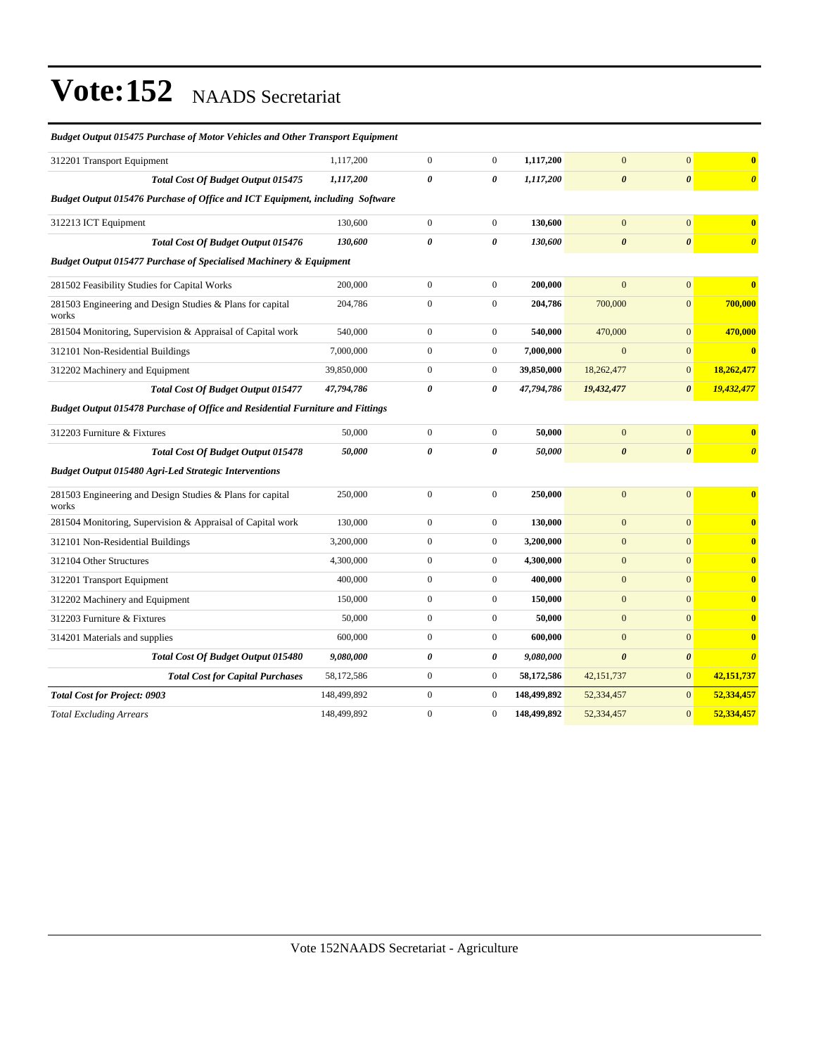| <b>Budget Output 015475 Purchase of Motor Vehicles and Other Transport Equipment</b> |             |                       |                  |             |                       |                       |                         |
|--------------------------------------------------------------------------------------|-------------|-----------------------|------------------|-------------|-----------------------|-----------------------|-------------------------|
| 312201 Transport Equipment                                                           | 1,117,200   | $\boldsymbol{0}$      | $\boldsymbol{0}$ | 1,117,200   | $\mathbf{0}$          | $\mathbf{0}$          | $\overline{\mathbf{0}}$ |
| Total Cost Of Budget Output 015475                                                   | 1,117,200   | $\pmb{\theta}$        | 0                | 1,117,200   | $\boldsymbol{\theta}$ | $\boldsymbol{\theta}$ | $\boldsymbol{\theta}$   |
| Budget Output 015476 Purchase of Office and ICT Equipment, including Software        |             |                       |                  |             |                       |                       |                         |
| 312213 ICT Equipment                                                                 | 130,600     | $\boldsymbol{0}$      | $\boldsymbol{0}$ | 130,600     | $\mathbf{0}$          | $\mathbf{0}$          | $\bf{0}$                |
| <b>Total Cost Of Budget Output 015476</b>                                            | 130,600     | $\boldsymbol{\theta}$ | 0                | 130,600     | $\boldsymbol{\theta}$ | $\boldsymbol{\theta}$ | $\boldsymbol{\theta}$   |
| <b>Budget Output 015477 Purchase of Specialised Machinery &amp; Equipment</b>        |             |                       |                  |             |                       |                       |                         |
| 281502 Feasibility Studies for Capital Works                                         | 200,000     | $\boldsymbol{0}$      | $\boldsymbol{0}$ | 200,000     | $\mathbf{0}$          | $\boldsymbol{0}$      | $\bf{0}$                |
| 281503 Engineering and Design Studies & Plans for capital<br>works                   | 204,786     | $\mathbf{0}$          | $\mathbf{0}$     | 204,786     | 700,000               | $\overline{0}$        | 700,000                 |
| 281504 Monitoring, Supervision & Appraisal of Capital work                           | 540,000     | $\boldsymbol{0}$      | $\mathbf{0}$     | 540,000     | 470,000               | $\mathbf{0}$          | 470,000                 |
| 312101 Non-Residential Buildings                                                     | 7,000,000   | $\mathbf{0}$          | $\mathbf{0}$     | 7,000,000   | $\Omega$              | $\overline{0}$        | $\overline{\mathbf{0}}$ |
| 312202 Machinery and Equipment                                                       | 39,850,000  | $\boldsymbol{0}$      | $\boldsymbol{0}$ | 39,850,000  | 18,262,477            | $\boldsymbol{0}$      | 18,262,477              |
| Total Cost Of Budget Output 015477                                                   | 47,794,786  | 0                     | 0                | 47,794,786  | 19,432,477            | $\boldsymbol{\theta}$ | 19,432,477              |
| Budget Output 015478 Purchase of Office and Residential Furniture and Fittings       |             |                       |                  |             |                       |                       |                         |
| 312203 Furniture & Fixtures                                                          | 50,000      | $\boldsymbol{0}$      | $\mathbf{0}$     | 50,000      | $\mathbf{0}$          | $\mathbf{0}$          | $\bf{0}$                |
| <b>Total Cost Of Budget Output 015478</b>                                            | 50,000      | 0                     | 0                | 50,000      | $\boldsymbol{\theta}$ | $\pmb{\theta}$        | $\boldsymbol{\theta}$   |
| <b>Budget Output 015480 Agri-Led Strategic Interventions</b>                         |             |                       |                  |             |                       |                       |                         |
| 281503 Engineering and Design Studies & Plans for capital<br>works                   | 250,000     | $\boldsymbol{0}$      | $\boldsymbol{0}$ | 250,000     | $\overline{0}$        | $\mathbf{0}$          | $\bf{0}$                |
| 281504 Monitoring, Supervision & Appraisal of Capital work                           | 130,000     | $\boldsymbol{0}$      | $\mathbf{0}$     | 130,000     | $\mathbf{0}$          | $\mathbf{0}$          | $\bf{0}$                |
| 312101 Non-Residential Buildings                                                     | 3,200,000   | $\boldsymbol{0}$      | $\boldsymbol{0}$ | 3,200,000   | $\mathbf{0}$          | $\overline{0}$        | $\bf{0}$                |
| 312104 Other Structures                                                              | 4,300,000   | $\mathbf{0}$          | $\mathbf{0}$     | 4,300,000   | $\mathbf{0}$          | $\overline{0}$        | $\bf{0}$                |
| 312201 Transport Equipment                                                           | 400,000     | $\boldsymbol{0}$      | $\mathbf{0}$     | 400.000     | $\mathbf{0}$          | $\overline{0}$        | $\bf{0}$                |
| 312202 Machinery and Equipment                                                       | 150,000     | $\boldsymbol{0}$      | $\mathbf{0}$     | 150,000     | $\mathbf{0}$          | $\overline{0}$        | $\bf{0}$                |
| 312203 Furniture & Fixtures                                                          | 50,000      | $\mathbf{0}$          | $\mathbf{0}$     | 50,000      | $\mathbf{0}$          | $\overline{0}$        | $\bf{0}$                |
| 314201 Materials and supplies                                                        | 600,000     | $\boldsymbol{0}$      | $\boldsymbol{0}$ | 600,000     | $\Omega$              | $\overline{0}$        | $\bf{0}$                |
| Total Cost Of Budget Output 015480                                                   | 9,080,000   | $\pmb{\theta}$        | 0                | 9,080,000   | $\boldsymbol{\theta}$ | $\boldsymbol{\theta}$ | $\boldsymbol{\theta}$   |
| <b>Total Cost for Capital Purchases</b>                                              | 58,172,586  | $\boldsymbol{0}$      | $\mathbf{0}$     | 58,172,586  | 42,151,737            | $\overline{0}$        | 42,151,737              |
| <b>Total Cost for Project: 0903</b>                                                  | 148,499,892 | $\boldsymbol{0}$      | $\boldsymbol{0}$ | 148,499,892 | 52,334,457            | $\mathbf{0}$          | 52,334,457              |
| <b>Total Excluding Arrears</b>                                                       | 148,499,892 | $\boldsymbol{0}$      | $\mathbf{0}$     | 148,499,892 | 52,334,457            | $\overline{0}$        | 52,334,457              |
|                                                                                      |             |                       |                  |             |                       |                       |                         |